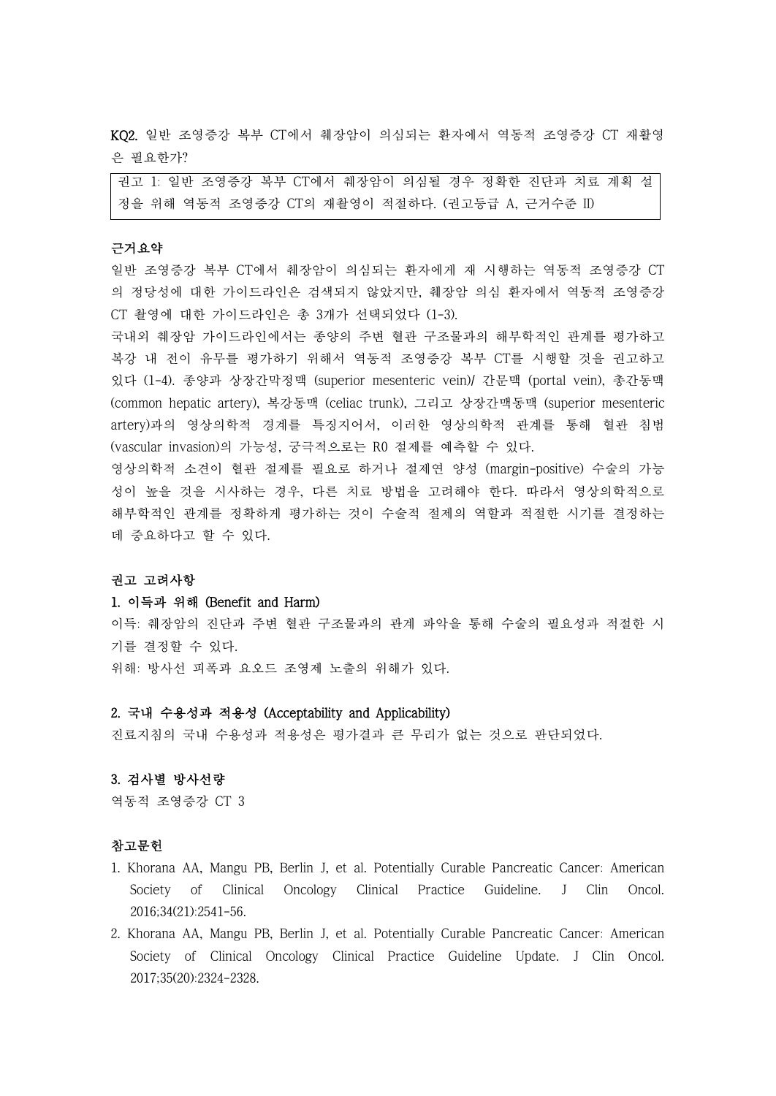KQ2. 일반 조영증강 복부 CT에서 췌장암이 의심되는 환자에서 역동적 조영증강 CT 재활영 은 필요한가?

권고 1: 일반 조영증강 복부 CT에서 췌장암이 의심될 경우 정확한 진단과 치료 계획 설 정을 위해 역동적 조영증강 CT의 재촬영이 적절하다. (권고등급 A, 근거수준 II)

# 근거요약

일반 조영증강 복부 CT에서 췌장암이 의심되는 환자에게 재 시행하는 역동적 조영증강 CT 의 정당성에 대한 가이드라인은 검색되지 않았지만, 췌장암 의심 환자에서 역동적 조영증강 CT 촬영에 대한 가이드라인은 총 3개가 선택되었다 (1-3).

국내외 췌장암 가이드라인에서는 종양의 주변 혈관 구조물과의 해부학적인 관계를 평가하고 복강 내 전이 유무를 평가하기 위해서 역동적 조영증강 복부 CT를 시행할 것을 권고하고 있다 (1-4). 종양과 상장간막정맥 (superior mesenteric vein)/ 간문맥 (portal vein), 총간동맥 (common hepatic artery), 복강동맥 (celiac trunk), 그리고 상장간맥동맥 (superior mesenteric artery)과의 영상의학적 경계를 특징지어서, 이러한 영상의학적 관계를 통해 혈관 침범 (vascular invasion)의 가능성, 궁극적으로는 R0 절제를 예측할 수 있다.<br>영상의학적 소견이 혈관 절제를 필요로 하거나 절제연 양성 (margin-positive) 수술의 가능

성이 높을 것을 시사하는 경우, 다른 치료 방법을 고려해야 한다. 따라서 영상의학적으로 해부학적인 관계를 정확하게 평가하는 것이 수술적 절제의 역할과 적절한 시기를 결정하는 데 중요하다고 할 수 있다.

#### 권고 고려사항

### 1. 이득과 위해 (Benefit and Harm)

이득: 췌장암의 진단과 주변 혈관 구조물과의 관계 파악을 통해 수술의 필요성과 적절한 시 기를 결정할 수 있다. 위해: 방사선 피폭과 요오드 조영제 노출의 위해가 있다.

## 2. 국내 수용성과 적용성 (Acceptability and Applicability)

진료지침의 국내 수용성과 적용성은 평가결과 큰 무리가 없는 것으로 판단되었다.

# 3. 검사별 방사선량

역동적 조영증강 CT 3

#### 참고문헌

- 1. Khorana AA, Mangu PB, Berlin J, et al. Potentially Curable Pancreatic Cancer: American Society of Clinical Oncology Clinical Practice Guideline. J Clin Oncol. 2016;34(21):2541-56.
- 2. Khorana AA, Mangu PB, Berlin J, et al. Potentially Curable Pancreatic Cancer: American Society of Clinical Oncology Clinical Practice Guideline Update. J Clin Oncol. 2017;35(20):2324-2328.